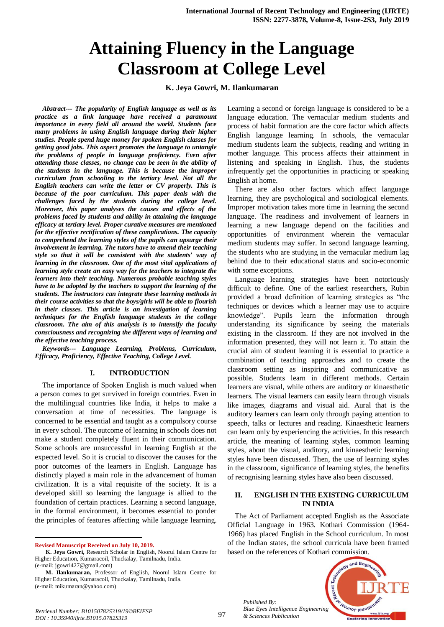# **Attaining Fluency in the Language Classroom at College Level**

## **K. Jeya Gowri, M. Ilankumaran**

*Abstract--- The popularity of English language as well as its practice as a link language have received a paramount importance in every field all around the world. Students face many problems in using English language during their higher studies. People spend huge money for spoken English classes for getting good jobs. This aspect promotes the language to untangle the problems of people in language proficiency. Even after attending those classes, no change can be seen in the ability of the students in the language. This is because the improper curriculum from schooling to the tertiary level. Not all the English teachers can write the letter or CV properly. This is because of the poor curriculum. This paper deals with the challenges faced by the students during the college level. Moreover, this paper analyses the causes and effects of the problems faced by students and ability in attaining the language efficacy at tertiary level. Proper curative measures are mentioned for the effective rectification of these complications. The capacity to comprehend the learning styles of the pupils can upsurge their involvement in learning. The tutors have to amend their teaching style so that it will be consistent with the students' way of learning in the classroom. One of the most vital applications of learning style create an easy way for the teachers to integrate the learners into their teaching. Numerous probable teaching styles have to be adopted by the teachers to support the learning of the students. The instructors can integrate these learning methods in their course activities so that the boys/girls will be able to flourish in their classes. This article is an investigation of learning techniques for the English language students in the college classroom. The aim of this analysis is to intensify the faculty consciousness and recognizing the different ways of learning and the effective teaching process.* 

*Keywords--- Language Learning, Problems, Curriculum, Efficacy, Proficiency, Effective Teaching, College Level.*

#### **I. INTRODUCTION**

The importance of Spoken English is much valued when a person comes to get survived in foreign countries. Even in the multilingual countries like India, it helps to make a conversation at time of necessities. The language is concerned to be essential and taught as a compulsory course in every school. The outcome of learning in schools does not make a student completely fluent in their communication. Some schools are unsuccessful in learning English at the expected level. So it is crucial to discover the causes for the poor outcomes of the learners in English. Language has distinctly played a main role in the advancement of human civilization. It is a vital requisite of the society. It is a developed skill so learning the language is allied to the foundation of certain practices. Learning a second language, in the formal environment, it becomes essential to ponder the principles of features affecting while language learning.

**Revised Manuscript Received on July 10, 2019.**

-

Learning a second or foreign language is considered to be a language education. The vernacular medium students and process of habit formation are the core factor which affects English language learning. In schools, the vernacular medium students learn the subjects, reading and writing in mother language. This process affects their attainment in listening and speaking in English. Thus, the students infrequently get the opportunities in practicing or speaking English at home.

There are also other factors which affect language learning, they are psychological and sociological elements. Improper motivation takes more time in learning the second language. The readiness and involvement of learners in learning a new language depend on the facilities and opportunities of environment wherein the vernacular medium students may suffer. In second language learning, the students who are studying in the vernacular medium lag behind due to their educational status and socio-economic with some exceptions.

Language learning strategies have been notoriously difficult to define. One of the earliest researchers, Rubin provided a broad definition of learning strategies as "the techniques or devices which a learner may use to acquire knowledge". Pupils learn the information through understanding its significance by seeing the materials existing in the classroom. If they are not involved in the information presented, they will not learn it. To attain the crucial aim of student learning it is essential to practice a combination of teaching approaches and to create the classroom setting as inspiring and communicative as possible. Students learn in different methods. Certain learners are visual, while others are auditory or kinaesthetic learners. The visual learners can easily learn through visuals like images, diagrams and visual aid. Aural that is the auditory learners can learn only through paying attention to speech, talks or lectures and reading. Kinaesthetic learners can learn only by experiencing the activities. In this research article, the meaning of learning styles, common learning styles, about the visual, auditory, and kinaesthetic learning styles have been discussed. Then, the use of learning styles in the classroom, significance of learning styles, the benefits of recognising learning styles have also been discussed.

## **II. ENGLISH IN THE EXISTING CURRICULUM IN INDIA**

The Act of Parliament accepted English as the Associate Official Language in 1963. Kothari Commission (1964- 1966) has placed English in the School curriculum. In most of the Indian states, the school curricula have been framed based on the references of Kothari commission.

Lecent Tech **Veuanor lenoire** *Blue Eyes Intelligence Engineering* 

and Engl

*Published By:*

**K. Jeya Gowri,** Research Scholar in English, Noorul Islam Centre for Higher Education, Kumaracoil, Thuckalay, Tamilnadu, India. (e-mail: jgowri427@gmail.com)

**M. Ilankumaran,** Professor of English, Noorul Islam Centre for Higher Education, Kumaracoil, Thuckalay, Tamilnadu, India. (e-mail: mikumaran@yahoo.com)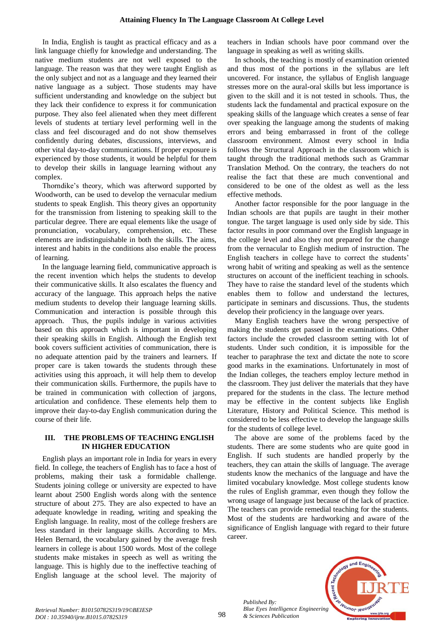In India, English is taught as practical efficacy and as a link language chiefly for knowledge and understanding. The native medium students are not well exposed to the language. The reason was that they were taught English as the only subject and not as a language and they learned their native language as a subject. Those students may have sufficient understanding and knowledge on the subject but they lack their confidence to express it for communication purpose. They also feel alienated when they meet different levels of students at tertiary level performing well in the class and feel discouraged and do not show themselves confidently during debates, discussions, interviews, and other vital day-to-day communications. If proper exposure is experienced by those students, it would be helpful for them to develop their skills in language learning without any complex.

Thorndike's theory, which was afterword supported by Woodworth, can be used to develop the vernacular medium students to speak English. This theory gives an opportunity for the transmission from listening to speaking skill to the particular degree. There are equal elements like the usage of pronunciation, vocabulary, comprehension, etc. These elements are indistinguishable in both the skills. The aims, interest and habits in the conditions also enable the process of learning.

In the language learning field, communicative approach is the recent invention which helps the students to develop their communicative skills. It also escalates the fluency and accuracy of the language. This approach helps the native medium students to develop their language learning skills. Communication and interaction is possible through this approach. Thus, the pupils indulge in various activities based on this approach which is important in developing their speaking skills in English. Although the English text book covers sufficient activities of communication, there is no adequate attention paid by the trainers and learners. If proper care is taken towards the students through these activities using this approach, it will help them to develop their communication skills. Furthermore, the pupils have to be trained in communication with collection of jargons, articulation and confidence. These elements help them to improve their day-to-day English communication during the course of their life.

## **III. THE PROBLEMS OF TEACHING ENGLISH IN HIGHER EDUCATION**

English plays an important role in India for years in every field. In college, the teachers of English has to face a host of problems, making their task a formidable challenge. Students joining college or university are expected to have learnt about 2500 English words along with the sentence structure of about 275. They are also expected to have an adequate knowledge in reading, writing and speaking the English language. In reality, most of the college freshers are less standard in their language skills. According to Mrs. Helen Bernard, the vocabulary gained by the average fresh learners in college is about 1500 words. Most of the college students make mistakes in speech as well as writing the language. This is highly due to the ineffective teaching of English language at the school level. The majority of teachers in Indian schools have poor command over the language in speaking as well as writing skills.

In schools, the teaching is mostly of examination oriented and thus most of the portions in the syllabus are left uncovered. For instance, the syllabus of English language stresses more on the aural-oral skills but less importance is given to the skill and it is not tested in schools. Thus, the students lack the fundamental and practical exposure on the speaking skills of the language which creates a sense of fear over speaking the language among the students of making errors and being embarrassed in front of the college classroom environment. Almost every school in India follows the Structural Approach in the classroom which is taught through the traditional methods such as Grammar Translation Method. On the contrary, the teachers do not realise the fact that these are much conventional and considered to be one of the oldest as well as the less effective methods.

Another factor responsible for the poor language in the Indian schools are that pupils are taught in their mother tongue. The target language is used only side by side. This factor results in poor command over the English language in the college level and also they not prepared for the change from the vernacular to English medium of instruction. The English teachers in college have to correct the students' wrong habit of writing and speaking as well as the sentence structures on account of the inefficient teaching in schools. They have to raise the standard level of the students which enables them to follow and understand the lectures, participate in seminars and discussions. Thus, the students develop their proficiency in the language over years.

Many English teachers have the wrong perspective of making the students get passed in the examinations. Other factors include the crowded classroom setting with lot of students. Under such condition, it is impossible for the teacher to paraphrase the text and dictate the note to score good marks in the examinations. Unfortunately in most of the Indian colleges, the teachers employ lecture method in the classroom. They just deliver the materials that they have prepared for the students in the class. The lecture method may be effective in the content subjects like English Literature, History and Political Science. This method is considered to be less effective to develop the language skills for the students of college level.

The above are some of the problems faced by the students. There are some students who are quite good in English. If such students are handled properly by the teachers, they can attain the skills of language. The average students know the mechanics of the language and have the limited vocabulary knowledge. Most college students know the rules of English grammar, even though they follow the wrong usage of language just because of the lack of practice. The teachers can provide remedial teaching for the students. Most of the students are hardworking and aware of the significance of English language with regard to their future career.



*Published By: Blue Eyes Intelligence Engineering & Sciences Publication*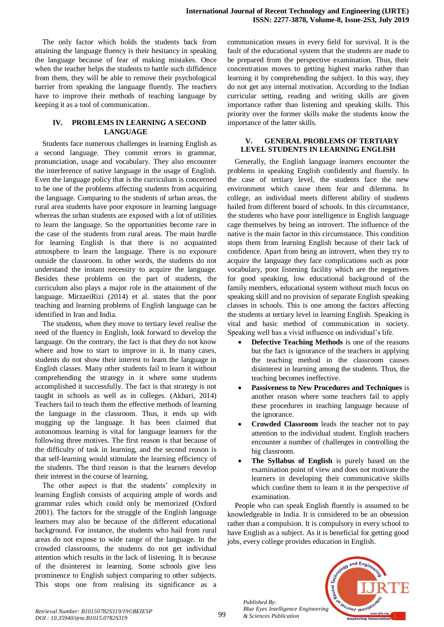The only factor which holds the students back from attaining the language fluency is their hesitancy in speaking the language because of fear of making mistakes. Once when the teacher helps the students to battle such diffidence from them, they will be able to remove their psychological barrier from speaking the language fluently. The teachers have to improve their methods of teaching language by keeping it as a tool of communication.

## **IV. PROBLEMS IN LEARNING A SECOND LANGUAGE**

Students face numerous challenges in learning English as a second language. They commit errors in grammar, pronunciation, usage and vocabulary. They also encounter the interference of native language in the usage of English. Even the language policy that is the curriculum is concerned to be one of the problems affecting students from acquiring the language. Comparing to the students of urban areas, the rural area students have poor exposure in learning language whereas the urban students are exposed with a lot of utilities to learn the language. So the opportunities become rare in the case of the students from rural areas. The main hurdle for learning English is that there is no acquainted atmosphere to learn the language. There is no exposure outside the classroom. In other words, the students do not understand the instant necessity to acquire the language. Besides these problems on the part of students, the curriculum also plays a major role in the attainment of the language. MirzaeiRizi (2014) et al. states that the poor teaching and learning problems of English language can be identified in Iran and India.

The students, when they move to tertiary level realise the need of the fluency in English, look forward to develop the language. On the contrary, the fact is that they do not know where and how to start to improve in it. In many cases, students do not show their interest to learn the language in English classes. Many other students fail to learn it without comprehending the strategy in it where some students accomplished it successfully. The fact is that strategy is not taught in schools as well as in colleges. (Akbari, 2014) Teachers fail to teach them the effective methods of learning the language in the classroom. Thus, it ends up with mugging up the language. It has been claimed that autonomous learning is vital for language learners for the following three motives. The first reason is that because of the difficulty of task in learning, and the second reason is that self-learning would stimulate the learning efficiency of the students. The third reason is that the learners develop their interest in the course of learning.

The other aspect is that the students' complexity in learning English consists of acquiring ample of words and grammar rules which could only be memorized (Oxford 2001). The factors for the struggle of the English language learners may also be because of the different educational background. For instance, the students who hail from rural areas do not expose to wide range of the language. In the crowded classrooms, the students do not get individual attention which results in the lack of listening. It is because of the disinterest in learning. Some schools give less prominence to English subject comparing to other subjects. This stops one from realising its significance as a

communication means in every field for survival. It is the fault of the educational system that the students are made to be prepared from the perspective examination. Thus, their concentration moves to getting highest marks rather than learning it by comprehending the subject. In this way, they do not get any internal motivation. According to the Indian curricular setting, reading and writing skills are given importance rather than listening and speaking skills. This priority over the former skills make the students know the importance of the latter skills.

## **V. GENERAL PROBLEMS OF TERTIARY LEVEL STUDENTS IN LEARNING ENGLISH**

Generally, the English language learners encounter the problems in speaking English confidently and fluently. In the case of tertiary level, the students face the new environment which cause them fear and dilemma. In college, an individual meets different ability of students hailed from different board of schools. In this circumstance, the students who have poor intelligence in English language cage themselves by being an introvert. The influence of the native is the main factor in this circumstance. This condition stops them from learning English because of their lack of confidence. Apart from being an introvert, when they try to acquire the language they face complications such as poor vocabulary, poor listening facility which are the negatives for good speaking, low educational background of the family members, educational system without much focus on speaking skill and no provision of separate English speaking classes in schools. This is one among the factors affecting the students at tertiary level in learning English. Speaking is vital and basic method of communication in society. Speaking well has a vivid influence on individual's life.

- **Defective Teaching Methods** is one of the reasons but the fact is ignorance of the teachers in applying the teaching method in the classroom causes disinterest in learning among the students. Thus, the teaching becomes ineffective.
- **Passiveness to New Procedures and Techniques** is another reason where some teachers fail to apply these procedures in teaching language because of the ignorance.
- **Crowded Classroom** leads the teacher not to pay attention to the individual student. English teachers encounter a number of challenges in controlling the big classroom.
- **The Syllabus of English** is purely based on the examination point of view and does not motivate the learners in developing their communicative skills which confine them to learn it in the perspective of examination.

People who can speak English fluently is assumed to be knowledgeable in India. It is considered to be an obsession rather than a compulsion. It is compulsory in every school to have English as a subject. As it is beneficial for getting good jobs, every college provides education in English.



*Published By:*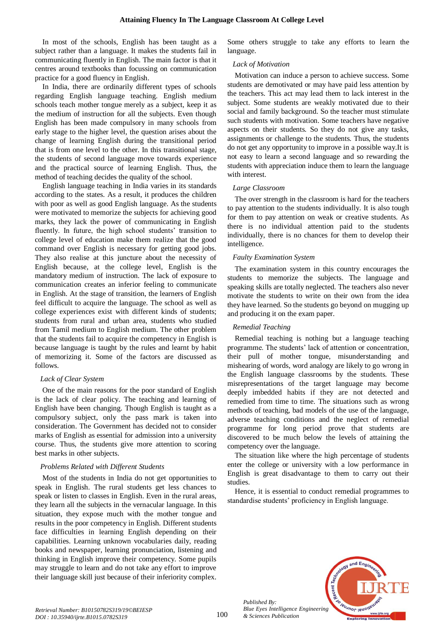In most of the schools, English has been taught as a subject rather than a language. It makes the students fail in communicating fluently in English. The main factor is that it centres around textbooks than focussing on communication practice for a good fluency in English.

In India, there are ordinarily different types of schools regarding English language teaching. English medium schools teach mother tongue merely as a subject, keep it as the medium of instruction for all the subjects. Even though English has been made compulsory in many schools from early stage to the higher level, the question arises about the change of learning English during the transitional period that is from one level to the other. In this transitional stage, the students of second language move towards experience and the practical source of learning English. Thus, the method of teaching decides the quality of the school.

English language teaching in India varies in its standards according to the states. As a result, it produces the children with poor as well as good English language. As the students were motivated to memorize the subjects for achieving good marks, they lack the power of communicating in English fluently. In future, the high school students' transition to college level of education make them realize that the good command over English is necessary for getting good jobs. They also realise at this juncture about the necessity of English because, at the college level, English is the mandatory medium of instruction. The lack of exposure to communication creates an inferior feeling to communicate in English. At the stage of transition, the learners of English feel difficult to acquire the language. The school as well as college experiences exist with different kinds of students; students from rural and urban area, students who studied from Tamil medium to English medium. The other problem that the students fail to acquire the competency in English is because language is taught by the rules and learnt by habit of memorizing it. Some of the factors are discussed as follows.

#### *Lack of Clear System*

One of the main reasons for the poor standard of English is the lack of clear policy. The teaching and learning of English have been changing. Though English is taught as a compulsory subject, only the pass mark is taken into consideration. The Government has decided not to consider marks of English as essential for admission into a university course. Thus, the students give more attention to scoring best marks in other subjects.

#### *Problems Related with Different Students*

Most of the students in India do not get opportunities to speak in English. The rural students get less chances to speak or listen to classes in English. Even in the rural areas, they learn all the subjects in the vernacular language. In this situation, they expose much with the mother tongue and results in the poor competency in English. Different students face difficulties in learning English depending on their capabilities. Learning unknown vocabularies daily, reading books and newspaper, learning pronunciation, listening and thinking in English improve their competency. Some pupils may struggle to learn and do not take any effort to improve their language skill just because of their inferiority complex. Some others struggle to take any efforts to learn the language.

## *Lack of Motivation*

Motivation can induce a person to achieve success. Some students are demotivated or may have paid less attention by the teachers. This act may lead them to lack interest in the subject. Some students are weakly motivated due to their social and family background. So the teacher must stimulate such students with motivation. Some teachers have negative aspects on their students. So they do not give any tasks, assignments or challenge to the students. Thus, the students do not get any opportunity to improve in a possible way.It is not easy to learn a second language and so rewarding the students with appreciation induce them to learn the language with interest.

## *Large Classroom*

The over strength in the classroom is hard for the teachers to pay attention to the students individually. It is also tough for them to pay attention on weak or creative students. As there is no individual attention paid to the students individually, there is no chances for them to develop their intelligence.

## *Faulty Examination System*

The examination system in this country encourages the students to memorize the subjects. The language and speaking skills are totally neglected. The teachers also never motivate the students to write on their own from the idea they have learned. So the students go beyond on mugging up and producing it on the exam paper.

## *Remedial Teaching*

Remedial teaching is nothing but a language teaching programme. The students' lack of attention or concentration, their pull of mother tongue, misunderstanding and mishearing of words, word analogy are likely to go wrong in the English language classrooms by the students. These misrepresentations of the target language may become deeply imbedded habits if they are not detected and remedied from time to time. The situations such as wrong methods of teaching, bad models of the use of the language, adverse teaching conditions and the neglect of remedial programme for long period prove that students are discovered to be much below the levels of attaining the competency over the language.

The situation like where the high percentage of students enter the college or university with a low performance in English is great disadvantage to them to carry out their studies.

Hence, it is essential to conduct remedial programmes to standardise students' proficiency in English language.



*Published By:*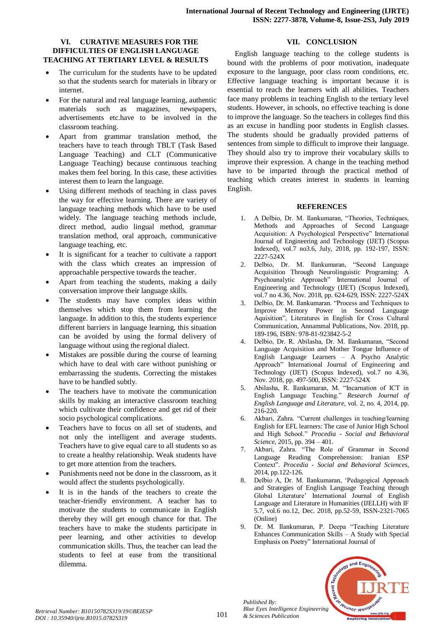# **VI. CURATIVE MEASURES FOR THE DIFFICULTIES OF ENGLISH LANGUAGE TEACHING AT TERTIARY LEVEL & RESULTS**

- The curriculum for the students have to be updated so that the students search for materials in library or internet.
- For the natural and real language learning, authentic materials such as magazines, newspapers, advertisements etc.have to be involved in the classroom teaching.
- Apart from grammar translation method, the teachers have to teach through TBLT (Task Based Language Teaching) and CLT (Communicative Language Teaching) because continuous teaching makes them feel boring. In this case, these activities interest them to learn the language.
- Using different methods of teaching in class paves the way for effective learning. There are variety of language teaching methods which have to be used widely. The language teaching methods include, direct method, audio lingual method, grammar translation method, oral approach, communicative language teaching, etc.
- It is significant for a teacher to cultivate a rapport with the class which creates an impression of approachable perspective towards the teacher.
- Apart from teaching the students, making a daily conversation improve their language skills.
- The students may have complex ideas within themselves which stop them from learning the language. In addition to this, the students experience different barriers in language learning, this situation can be avoided by using the formal delivery of language without using the regional dialect.
- Mistakes are possible during the course of learning which have to deal with care without punishing or embarrassing the students. Correcting the mistakes have to be handled subtly.
- The teachers have to motivate the communication skills by making an interactive classroom teaching which cultivate their confidence and get rid of their socio psychological complications.
- Teachers have to focus on all set of students, and not only the intelligent and average students. Teachers have to give equal care to all students so as to create a healthy relationship. Weak students have to get more attention from the teachers.
- Punishments need not be done in the classroom, as it would affect the students psychologically.
- It is in the hands of the teachers to create the teacher-friendly environment. A teacher has to motivate the students to communicate in English thereby they will get enough chance for that. The teachers have to make the students participate in peer learning, and other activities to develop communication skills. Thus, the teacher can lead the students to feel at ease from the transitional dilemma.

# **VII. CONCLUSION**

English language teaching to the college students is bound with the problems of poor motivation, inadequate exposure to the language, poor class room conditions, etc. Effective language teaching is important because it is essential to reach the learners with all abilities. Teachers face many problems in teaching English to the tertiary level students. However, in schools, no effective teaching is done to improve the language. So the teachers in colleges find this as an excuse in handling poor students in English classes. The students should be gradually provided patterns of sentences from simple to difficult to improve their language. They should also try to improve their vocabulary skills to improve their expression. A change in the teaching method have to be imparted through the practical method of teaching which creates interest in students in learning English.

# **REFERENCES**

- 1. A Delbio, Dr. M. Ilankumaran, "Theories, Techniques, Methods and Approaches of Second Language Acquisition: A Psychological Perspective" International Journal of Engineering and Technology (IJET) (Scopus Indexed), vol.7 no3.6, July, 2018, pp. 192-197, ISSN: 2227-524X
- 2. Delbio, Dr. M. Ilankumaran, "Second Language Acquisition Through Neurolinguistic Programing: A Psychoanalytic Approach" International Journal of Engineering and Technology (IJET) (Scopus Indexed), vol.7 no 4.36, Nov. 2018, pp. 624-629, ISSN: 2227-524X
- 3. Delbio, Dr. M. Ilankumaran. "Process and Techniques to Improve Memory Power in Second Language Aquisition", Literatures in English for Cross Cultural Communication, Annammal Publications, Nov. 2018, pp. 189-196, ISBN: 978-81-923842-5-2
- 4. Delbio, Dr. R. Abilasha, Dr. M. Ilankumaran, "Second Language Acquisition and Mother Tongue Influence of English Language Learners – A Psycho Analytic Approach" International Journal of Engineering and Technology (IJET) (Scopus Indexed), vol.7 no 4.36, Nov. 2018, pp. 497-500, ISSN: 2227-524X
- 5. Abilasha, R. Ilankumaran, M. "Incarnation of ICT in English Language Teaching." *Research Journal of English Language and Literature,* vol. 2, no. 4, 2014, pp. 216-220.
- 6. Akbari, Zahra. "Current challenges in teaching/learning English for EFL learners: The case of Junior High School and High School." *Procedia - Social and Behavioral Science*, 2015, pp. 394 – 401.
- 7. Akbari, Zahra. "The Role of Grammar in Second Language Reading Comprehension: Iranian ESP Context". *Procedia - Social and Behavioral Sciences*, 2014, pp.122-126.
- 8. Delbio A, Dr. M. Ilankumaran, 'Pedagogical Approach and Strategies of English Language Teaching through Global Literature' International Journal of English Language and Literature in Humanities (IJELLH) with IF 5.7, vol.6 no.12, Dec. 2018, pp.52-59, ISSN-2321-7065 (Online)
- 9. Dr. M. Ilankumaran, P. Deepa "Teaching Literature Enhances Communication Skills – A Study with Special Emphasis on Poetry" International Journal of



*Published By:*